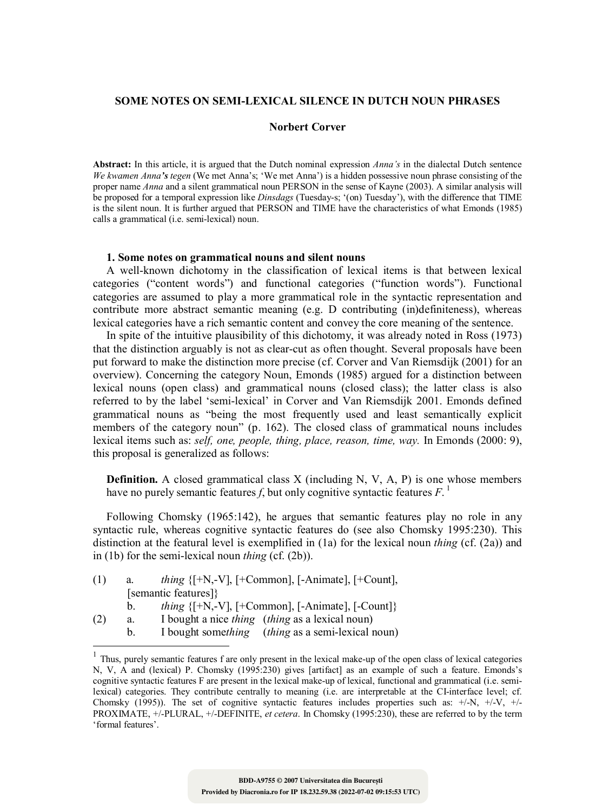#### **SOME NOTES ON SEMI-LEXICAL SILENCE IN DUTCH NOUN PHRASES**

#### **Norbert Corver**

**Abstract:** In this article, it is argued that the Dutch nominal expression *Anna's* in the dialectal Dutch sentence *We kwamen Anna's tegen* (We met Anna's; 'We met Anna') is a hidden possessive noun phrase consisting of the proper name *Anna* and a silent grammatical noun PERSON in the sense of Kayne (2003). A similar analysis will be proposed for a temporal expression like *Dinsdags* (Tuesday-s; '(on) Tuesday'), with the difference that TIME is the silent noun. It is further argued that PERSON and TIME have the characteristics of what Emonds (1985) calls a grammatical (i.e. semi-lexical) noun.

#### **1. Some notes on grammatical nouns and silent nouns**

A well-known dichotomy in the classification of lexical items is that between lexical categories ("content words") and functional categories ("function words"). Functional categories are assumed to play a more grammatical role in the syntactic representation and contribute more abstract semantic meaning (e.g. D contributing (in)definiteness), whereas lexical categories have a rich semantic content and convey the core meaning of the sentence.

In spite of the intuitive plausibility of this dichotomy, it was already noted in Ross (1973) that the distinction arguably is not as clear-cut as often thought. Several proposals have been put forward to make the distinction more precise (cf. Corver and Van Riemsdijk (2001) for an overview). Concerning the category Noun, Emonds (1985) argued for a distinction between lexical nouns (open class) and grammatical nouns (closed class); the latter class is also referred to by the label 'semi-lexical' in Corver and Van Riemsdijk 2001. Emonds defined grammatical nouns as "being the most frequently used and least semantically explicit members of the category noun" (p. 162). The closed class of grammatical nouns includes lexical items such as: *self, one, people, thing, place, reason, time, way.* In Emonds (2000: 9), this proposal is generalized as follows:

**Definition.** A closed grammatical class X (including N, V, A, P) is one whose members have no purely semantic features *f*, but only cognitive syntactic features *F*. 1

Following Chomsky (1965:142), he argues that semantic features play no role in any syntactic rule, whereas cognitive syntactic features do (see also Chomsky 1995:230). This distinction at the featural level is exemplified in (1a) for the lexical noun *thing* (cf. (2a)) and in (1b) for the semi-lexical noun *thing* (cf. (2b)).

| (1) | a. | <i>thing</i> $\{[-N, -V], [-Common], [-Animal], [-Count],$     |
|-----|----|----------------------------------------------------------------|
|     |    | [semantic features]}                                           |
|     |    | <i>thing</i> $\{[-N, -V], [-Common], [-Animal], [-Count]\}$    |
| (2) | a. | I bought a nice <i>thing</i> ( <i>thing</i> as a lexical noun) |

b. I bought some*thing* (*thing* as a semi-lexical noun)

 $\overline{a}$ 

<sup>&</sup>lt;sup>1</sup> Thus, purely semantic features f are only present in the lexical make-up of the open class of lexical categories N, V, A and (lexical) P. Chomsky (1995:230) gives [artifact] as an example of such a feature. Emonds's cognitive syntactic features F are present in the lexical make-up of lexical, functional and grammatical (i.e. semilexical) categories. They contribute centrally to meaning (i.e. are interpretable at the CI-interface level; cf. Chomsky (1995)). The set of cognitive syntactic features includes properties such as:  $+/-N$ ,  $+/-V$ ,  $+/-V$ PROXIMATE, +/-PLURAL, +/-DEFINITE, *et cetera*. In Chomsky (1995:230), these are referred to by the term 'formal features'.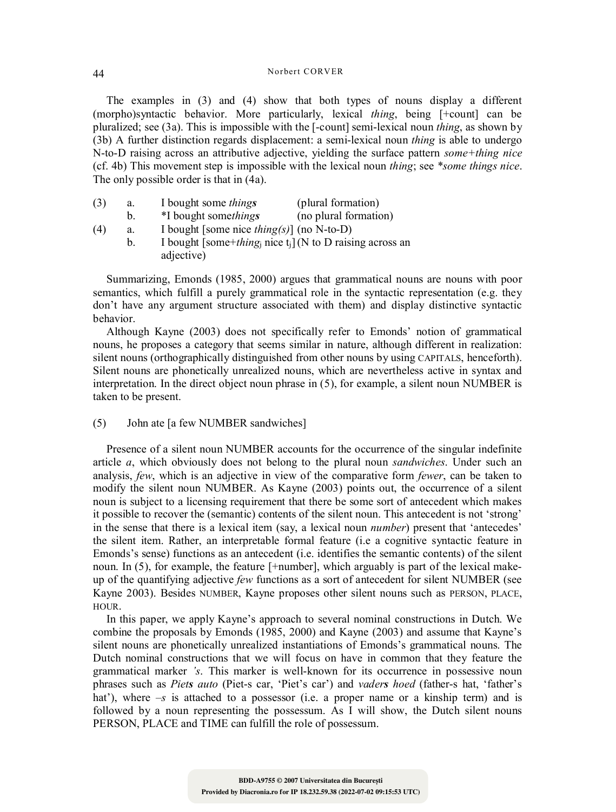#### Norbert CORVER 44

The examples in (3) and (4) show that both types of nouns display a different (morpho)syntactic behavior. More particularly, lexical *thing*, being [+count] can be pluralized; see (3a). This is impossible with the [-count] semi-lexical noun *thing*, as shown by (3b) A further distinction regards displacement: a semi-lexical noun *thing* is able to undergo N-to-D raising across an attributive adjective, yielding the surface pattern *some+thing nice* (cf. 4b) This movement step is impossible with the lexical noun *thing*; see *\*some things nice*. The only possible order is that in (4a).

| (3) | a. | I bought some <i>things</i> | (plural formation)    |
|-----|----|-----------------------------|-----------------------|
|     |    | *I bought somethings        | (no plural formation) |

(4) a. I bought [some nice *thing(s)*] (no N-to-D) b. I bought [some+*thing*j nice tj] (N to D raising across an adjective)

Summarizing, Emonds (1985, 2000) argues that grammatical nouns are nouns with poor semantics, which fulfill a purely grammatical role in the syntactic representation (e.g. they don't have any argument structure associated with them) and display distinctive syntactic behavior.

Although Kayne (2003) does not specifically refer to Emonds' notion of grammatical nouns, he proposes a category that seems similar in nature, although different in realization: silent nouns (orthographically distinguished from other nouns by using CAPITALS, henceforth). Silent nouns are phonetically unrealized nouns, which are nevertheless active in syntax and interpretation. In the direct object noun phrase in (5), for example, a silent noun NUMBER is taken to be present.

(5) John ate [a few NUMBER sandwiches]

Presence of a silent noun NUMBER accounts for the occurrence of the singular indefinite article *a*, which obviously does not belong to the plural noun *sandwiches*. Under such an analysis, *few*, which is an adjective in view of the comparative form *fewer*, can be taken to modify the silent noun NUMBER. As Kayne (2003) points out, the occurrence of a silent noun is subject to a licensing requirement that there be some sort of antecedent which makes it possible to recover the (semantic) contents of the silent noun. This antecedent is not 'strong' in the sense that there is a lexical item (say, a lexical noun *number*) present that 'antecedes' the silent item. Rather, an interpretable formal feature (i.e a cognitive syntactic feature in Emonds's sense) functions as an antecedent (i.e. identifies the semantic contents) of the silent noun. In (5), for example, the feature [+number], which arguably is part of the lexical makeup of the quantifying adjective *few* functions as a sort of antecedent for silent NUMBER (see Kayne 2003). Besides NUMBER, Kayne proposes other silent nouns such as PERSON, PLACE, HOUR.

In this paper, we apply Kayne's approach to several nominal constructions in Dutch. We combine the proposals by Emonds (1985, 2000) and Kayne (2003) and assume that Kayne's silent nouns are phonetically unrealized instantiations of Emonds's grammatical nouns. The Dutch nominal constructions that we will focus on have in common that they feature the grammatical marker *'s*. This marker is well-known for its occurrence in possessive noun phrases such as *Piets auto* (Piet-s car, 'Piet's car') and *vaders hoed* (father-s hat, 'father's hat'), where  $-s$  is attached to a possessor (i.e. a proper name or a kinship term) and is followed by a noun representing the possessum. As I will show, the Dutch silent nouns PERSON, PLACE and TIME can fulfill the role of possessum.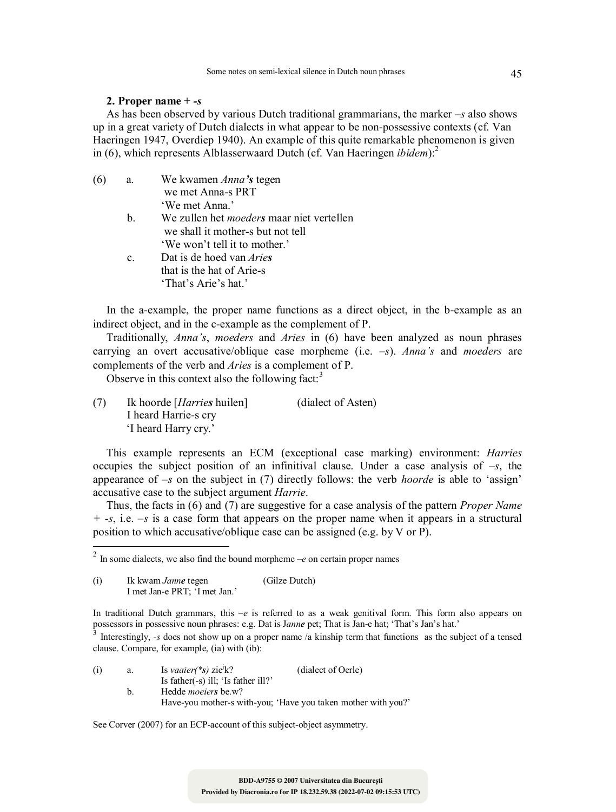# **2. Proper name +** *-s*

As has been observed by various Dutch traditional grammarians, the marker *–s* also shows up in a great variety of Dutch dialects in what appear to be non-possessive contexts (cf. Van Haeringen 1947, Overdiep 1940). An example of this quite remarkable phenomenon is given in (6), which represents Alblasserwaard Dutch (cf. Van Haeringen *ibidem*):<sup>2</sup>

| (6 | a.             | We kwamen Anna's tegen                           |
|----|----------------|--------------------------------------------------|
|    |                | we met Anna-s PRT                                |
|    |                | 'We met Anna.'                                   |
|    | $b_{\rm L}$    | We zullen het <i>moeders</i> maar niet vertellen |
|    |                | we shall it mother-s but not tell                |
|    |                | 'We won't tell it to mother.'                    |
|    | $\mathbf{c}$ . | Dat is de hoed van <i>Aries</i>                  |
|    |                | that is the hat of Arie-s                        |
|    |                | 'That's Arie's hat.'                             |
|    |                |                                                  |

In the a-example, the proper name functions as a direct object, in the b-example as an indirect object, and in the c-example as the complement of P.

Traditionally, *Anna's*, *moeders* and *Aries* in (6) have been analyzed as noun phrases carrying an overt accusative/oblique case morpheme (i.e. *–s*). *Anna's* and *moeders* are complements of the verb and *Aries* is a complement of P.

Observe in this context also the following fact: $3$ 

(7) Ik hoorde [*Harries* huilen] (dialect of Asten) I heard Harrie-s cry 'I heard Harry cry.'

This example represents an ECM (exceptional case marking) environment: *Harries* occupies the subject position of an infinitival clause. Under a case analysis of *–s*, the appearance of *–s* on the subject in (7) directly follows: the verb *hoorde* is able to 'assign' accusative case to the subject argument *Harrie*.

Thus, the facts in (6) and (7) are suggestive for a case analysis of the pattern *Proper Name + -s*, i.e. *–s* is a case form that appears on the proper name when it appears in a structural position to which accusative/oblique case can be assigned (e.g. by V or P).

 $\overline{a}$ 

Interestingly, *-s* does not show up on a proper name /a kinship term that functions as the subject of a tensed clause. Compare, for example, (ia) with (ib):

| (i) | a.             | Is <i>vaaier</i> (*s) zie <sup><math>\frac{1}{k}</math>?</sup> | (dialect of Oerle)                                            |
|-----|----------------|----------------------------------------------------------------|---------------------------------------------------------------|
|     |                | Is father $(-s)$ ill; 'Is father ill?'                         |                                                               |
|     | $\mathbf{b}$ . | Hedde <i>moeiers</i> be.w?                                     |                                                               |
|     |                |                                                                | Have-you mother-s with-you; 'Have you taken mother with you?' |

See Corver (2007) for an ECP-account of this subject-object asymmetry.

<sup>2</sup> In some dialects, we also find the bound morpheme *–e* on certain proper names

<sup>(</sup>i) Ik kwam *Janne* tegen (Gilze Dutch) I met Jan-e PRT; 'I met Jan.'

In traditional Dutch grammars, this *–e* is referred to as a weak genitival form. This form also appears on possessors in possessive noun phrases: e.g. Dat is J*anne* pet; That is Jan-e hat; 'That's Jan's hat.'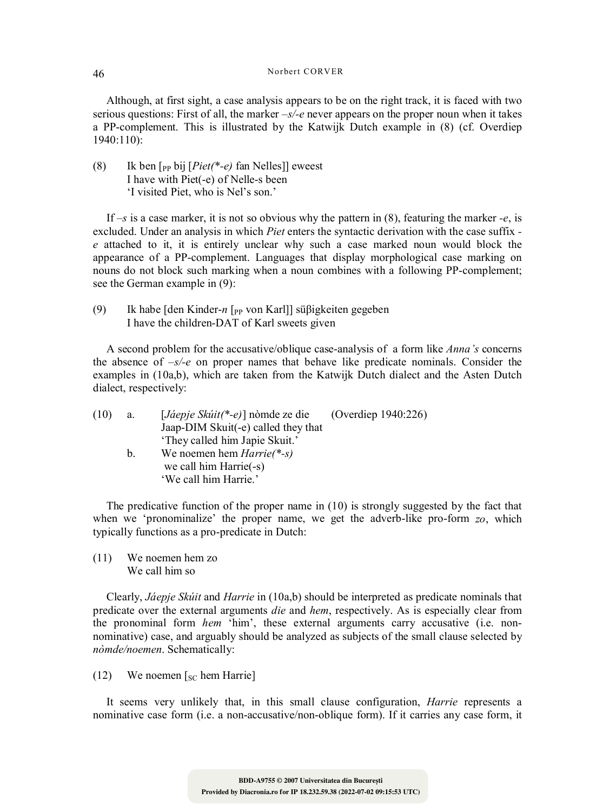# Norbert CORVER 46

Although, at first sight, a case analysis appears to be on the right track, it is faced with two serious questions: First of all, the marker *–s/-e* never appears on the proper noun when it takes a PP-complement. This is illustrated by the Katwijk Dutch example in (8) (cf. Overdiep 1940:110):

(8) Ik ben [PP bij [*Piet(\*-e)* fan Nelles]] eweest I have with Piet(-e) of Nelle-s been 'I visited Piet, who is Nel's son.'

If  $-s$  is a case marker, it is not so obvious why the pattern in (8), featuring the marker *-e*, is excluded. Under an analysis in which *Piet* enters the syntactic derivation with the case suffix  *e* attached to it, it is entirely unclear why such a case marked noun would block the appearance of a PP-complement. Languages that display morphological case marking on nouns do not block such marking when a noun combines with a following PP-complement; see the German example in (9):

(9) Ik habe [den Kinder-*n* [PP von Karl]] süβigkeiten gegeben I have the children-DAT of Karl sweets given

A second problem for the accusative/oblique case-analysis of a form like *Anna's* concerns the absence of *–s/-e* on proper names that behave like predicate nominals. Consider the examples in (10a,b), which are taken from the Katwijk Dutch dialect and the Asten Dutch dialect, respectively:

| (10) | a.      | $[J\acute{a}ep\acute{e}Sk\acute{u}it(*-e)]$ nòmde ze die | (Overdiep $1940:226$ ) |
|------|---------|----------------------------------------------------------|------------------------|
|      |         | Jaap-DIM Skuit(-e) called they that                      |                        |
|      |         | 'They called him Japie Skuit.'                           |                        |
|      | $b_{-}$ | We noemen hem $Harrie(*-s)$                              |                        |
|      |         | we call him Harrie(-s)                                   |                        |
|      |         | 'We call him Harrie.'                                    |                        |

The predicative function of the proper name in (10) is strongly suggested by the fact that when we 'pronominalize' the proper name, we get the adverb-like pro-form *zo*, which typically functions as a pro-predicate in Dutch:

(11) We noemen hem zo We call him so

Clearly, *Jáepje Skúit* and *Harrie* in (10a,b) should be interpreted as predicate nominals that predicate over the external arguments *die* and *hem*, respectively. As is especially clear from the pronominal form *hem* 'him', these external arguments carry accusative (i.e. nonnominative) case, and arguably should be analyzed as subjects of the small clause selected by *nòmde/noemen*. Schematically:

(12) We noemen  $\lceil_{SC}$  hem Harrie]

It seems very unlikely that, in this small clause configuration, *Harrie* represents a nominative case form (i.e. a non-accusative/non-oblique form). If it carries any case form, it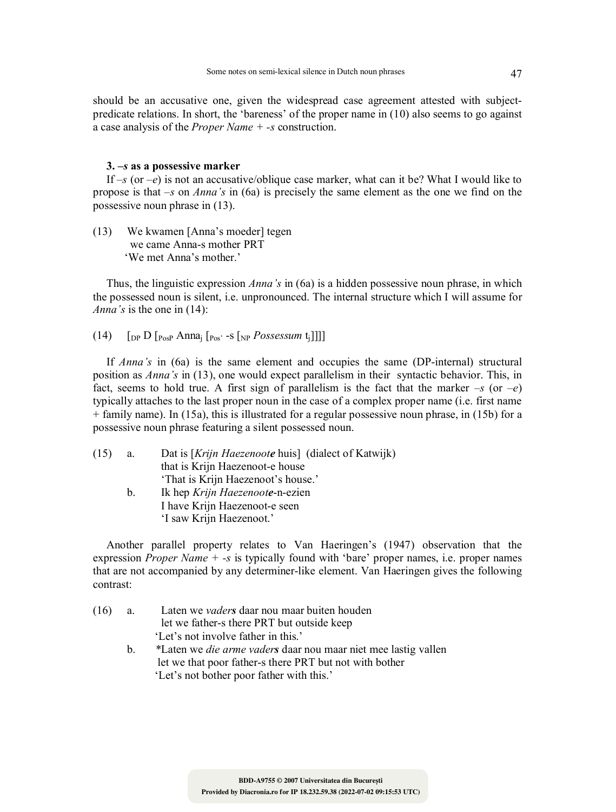should be an accusative one, given the widespread case agreement attested with subjectpredicate relations. In short, the 'bareness' of the proper name in (10) also seems to go against a case analysis of the *Proper Name + -s* construction.

# **3.** *–s* **as a possessive marker**

If  $-s$  (or  $-e$ ) is not an accusative/oblique case marker, what can it be? What I would like to propose is that *–s* on *Anna's* in (6a) is precisely the same element as the one we find on the possessive noun phrase in (13).

(13) We kwamen [Anna's moeder] tegen we came Anna-s mother PRT 'We met Anna's mother.'

Thus, the linguistic expression *Anna's* in (6a) is a hidden possessive noun phrase, in which the possessed noun is silent, i.e. unpronounced. The internal structure which I will assume for *Anna's* is the one in (14):

(14)  $\left[\begin{array}{cc} \n\text{op D} \n\end{array} \right]$   $\left[\begin{array}{cc} P_{\text{OSP}} \text{A} \text{D} \n\end{array} \right]$ 

If *Anna's* in (6a) is the same element and occupies the same (DP-internal) structural position as *Anna's* in (13), one would expect parallelism in their syntactic behavior. This, in fact, seems to hold true. A first sign of parallelism is the fact that the marker  $-s$  (or  $-e$ ) typically attaches to the last proper noun in the case of a complex proper name (i.e. first name + family name). In (15a), this is illustrated for a regular possessive noun phrase, in (15b) for a possessive noun phrase featuring a silent possessed noun.

| (15) | a.             | Dat is [Krijn Haezenoote huis] (dialect of Katwijk) |
|------|----------------|-----------------------------------------------------|
|      |                | that is Krijn Haezenoot-e house                     |
|      |                | 'That is Krijn Haezenoot's house.'                  |
|      | $\mathbf{b}$ . | Ik hep Krijn Haezenoote-n-ezien                     |
|      |                | I have Krijn Haezenoot-e seen                       |
|      |                | 'I saw Krijn Haezenoot.'                            |
|      |                |                                                     |

Another parallel property relates to Van Haeringen's (1947) observation that the expression *Proper Name + -s* is typically found with 'bare' proper names, i.e. proper names that are not accompanied by any determiner-like element. Van Haeringen gives the following contrast:

| (16) | a. | Laten we <i>vaders</i> daar nou maar buiten houden                    |
|------|----|-----------------------------------------------------------------------|
|      |    | let we father-s there PRT but outside keep                            |
|      |    | 'Let's not involve father in this.'                                   |
|      | h. | *Laten we <i>die arme vaders</i> daar nou maar niet mee lastig vallen |
|      |    | let we that poor father-s there PRT but not with bother               |
|      |    | 'Let's not bother poor father with this.'                             |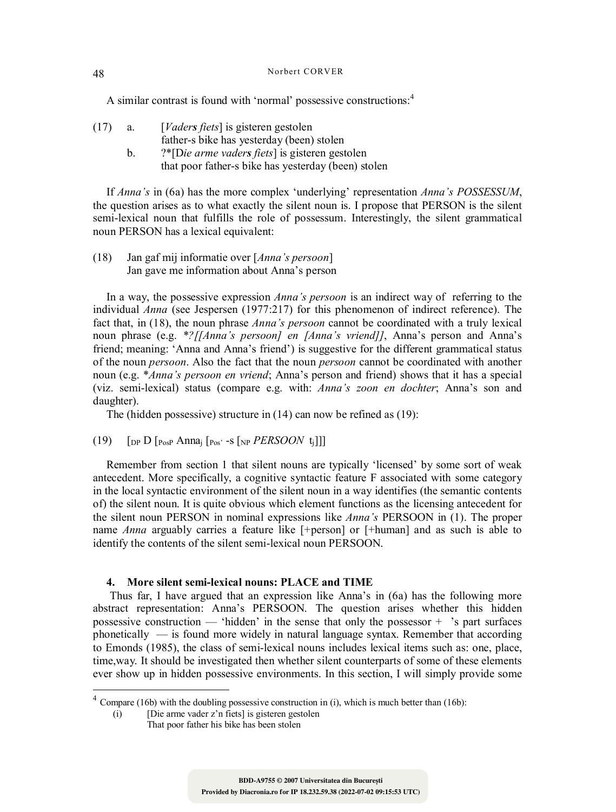# Norbert CORVER 48

A similar contrast is found with 'normal' possessive constructions:<sup>4</sup>

- (17) a. [*Vaders fiets*] is gisteren gestolen father-s bike has yesterday (been) stolen
	- b. ?\*[D*ie arme vaders fiets*] is gisteren gestolen that poor father-s bike has yesterday (been) stolen

If *Anna's* in (6a) has the more complex 'underlying' representation *Anna's POSSESSUM*, the question arises as to what exactly the silent noun is. I propose that PERSON is the silent semi-lexical noun that fulfills the role of possessum. Interestingly, the silent grammatical noun PERSON has a lexical equivalent:

(18) Jan gaf mij informatie over [*Anna's persoon*] Jan gave me information about Anna's person

In a way, the possessive expression *Anna's persoon* is an indirect way of referring to the individual *Anna* (see Jespersen (1977:217) for this phenomenon of indirect reference). The fact that, in (18), the noun phrase *Anna's persoon* cannot be coordinated with a truly lexical noun phrase (e.g. *\*?[[Anna's persoon] en [Anna's vriend]]*, Anna's person and Anna's friend; meaning: 'Anna and Anna's friend') is suggestive for the different grammatical status of the noun *persoon*. Also the fact that the noun *persoon* cannot be coordinated with another noun (e.g. \**Anna's persoon en vriend*; Anna's person and friend) shows that it has a special (viz. semi-lexical) status (compare e.g. with: *Anna's zoon en dochter*; Anna's son and daughter).

The (hidden possessive) structure in (14) can now be refined as (19):

(19)  $\left[$   $\left[$   $\right]$   $\left[$   $\right]$   $\left[$   $\right]$   $\left[$   $\right]$   $\left[$   $\right]$   $\left[$   $\left[$   $\right]$   $\left[$   $\right]$   $\left[$   $\right]$   $\left[$   $\right]$   $\left[$   $\left[$   $\right]$   $\left[$   $\right]$   $\left[$   $\right]$   $\left[$   $\left[$   $\right]$   $\left[$   $\right]$   $\left[$   $\left[$   $\right]$   $\left[$ 

Remember from section 1 that silent nouns are typically 'licensed' by some sort of weak antecedent. More specifically, a cognitive syntactic feature F associated with some category in the local syntactic environment of the silent noun in a way identifies (the semantic contents of) the silent noun. It is quite obvious which element functions as the licensing antecedent for the silent noun PERSON in nominal expressions like *Anna's* PERSOON in (1). The proper name *Anna* arguably carries a feature like [+person] or [+human] and as such is able to identify the contents of the silent semi-lexical noun PERSOON.

# **4. More silent semi-lexical nouns: PLACE and TIME**

Thus far, I have argued that an expression like Anna's in (6a) has the following more abstract representation: Anna's PERSOON. The question arises whether this hidden possessive construction — 'hidden' in the sense that only the possessor  $+$  's part surfaces phonetically — is found more widely in natural language syntax. Remember that according to Emonds (1985), the class of semi-lexical nouns includes lexical items such as: one, place, time,way. It should be investigated then whether silent counterparts of some of these elements ever show up in hidden possessive environments. In this section, I will simply provide some

l

 $4$  Compare (16b) with the doubling possessive construction in (i), which is much better than (16b):

<sup>(</sup>i) [Die arme vader z'n fiets] is gisteren gestolen That poor father his bike has been stolen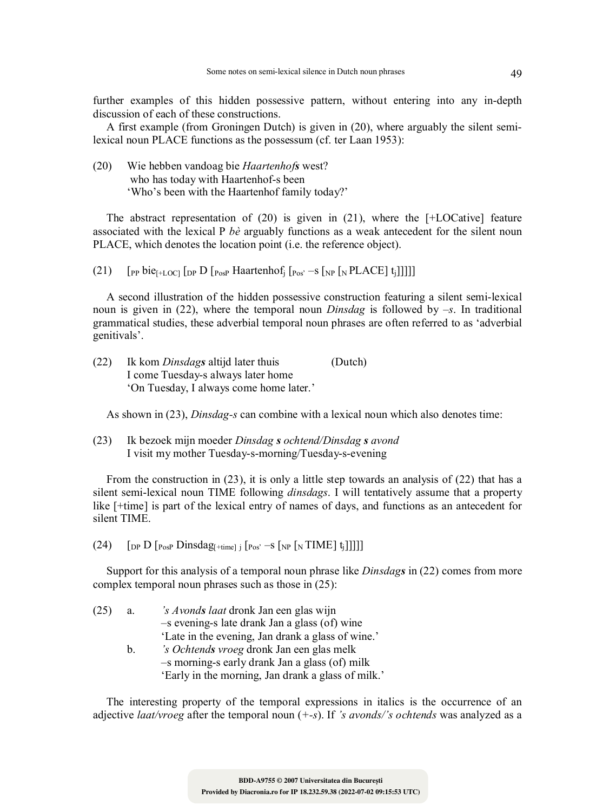further examples of this hidden possessive pattern, without entering into any in-depth discussion of each of these constructions.

A first example (from Groningen Dutch) is given in (20), where arguably the silent semilexical noun PLACE functions as the possessum (cf. ter Laan 1953):

(20) Wie hebben vandoag bie *Haartenhofs* west? who has today with Haartenhof-s been 'Who's been with the Haartenhof family today?'

The abstract representation of  $(20)$  is given in  $(21)$ , where the [+LOCative] feature associated with the lexical P *bè* arguably functions as a weak antecedent for the silent noun PLACE, which denotes the location point (i.e. the reference object).

(21)  $\left[$  [PP bie<sub>[+LOC]</sub>  $\left[$  [DP  $\left[$  P<sub>0S</sub>P Haartenhof<sub>i</sub>  $\left[$  P<sub>0S</sub>' –s  $\left[$  <sub>NP</sub>  $\left[$  N PLACE] t<sub>i</sub>]]]]]

A second illustration of the hidden possessive construction featuring a silent semi-lexical noun is given in (22), where the temporal noun *Dinsdag* is followed by *–s*. In traditional grammatical studies, these adverbial temporal noun phrases are often referred to as 'adverbial genitivals'.

(22) Ik kom *Dinsdags* altijd later thuis (Dutch) I come Tuesday-s always later home 'On Tuesday, I always come home later.'

As shown in (23), *Dinsdag-s* can combine with a lexical noun which also denotes time:

(23) Ik bezoek mijn moeder *Dinsdag s ochtend/Dinsdag s avond* I visit my mother Tuesday-s-morning/Tuesday-s-evening

From the construction in (23), it is only a little step towards an analysis of (22) that has a silent semi-lexical noun TIME following *dinsdags*. I will tentatively assume that a property like [+time] is part of the lexical entry of names of days, and functions as an antecedent for silent TIME.

(24)  $\left[$  [DP D  $\left[$  PosP Dinsdag<sub>[+time]</sub>  $\left[$  [Pos' –S  $\left[$  NP  $\left[$  N TIME]  $t_j$ ]]]]]

Support for this analysis of a temporal noun phrase like *Dinsdags* in (22) comes from more complex temporal noun phrases such as those in (25):

(25) a. *'s Avonds laat* dronk Jan een glas wijn –s evening-s late drank Jan a glass (of) wine 'Late in the evening, Jan drank a glass of wine.' b. *'s Ochtends vroeg* dronk Jan een glas melk –s morning-s early drank Jan a glass (of) milk 'Early in the morning, Jan drank a glass of milk.'

The interesting property of the temporal expressions in italics is the occurrence of an adjective *laat/vroeg* after the temporal noun (*+-s*). If *'s avonds/'s ochtends* was analyzed as a